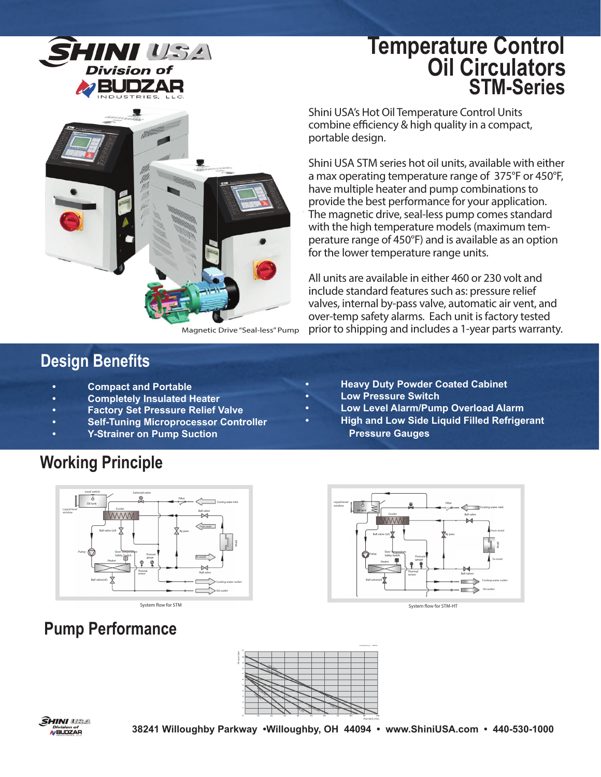

## **Oil Circulators STM-Series Temperature Control**



Magnetic Drive "Seal-less" Pump

### **Design Benefits**

- **Compact and Portable**
- **Completely Insulated Heater**
- **Factory Set Pressure Relief Valve**
- **Self-Tuning Microprocessor Controller**
- **Y-Strainer on Pump Suction**

## **Working Principle**



### **Pump Performance**

Shini USA's Hot Oil Temperature Control Units combine efficiency & high quality in a compact, portable design. p

Shini USA STM series hot oil units, available with either S a max operating temperature range of 375°F or 450°F, a have multiple heater and pump combinations to h provide the best performance for your application. p The magnetic drive, seal-less pump comes standard T with the high temperature models (maximum temperature range of 450°F) and is available as an option p for the lower temperature range units. fo

All units are available in either 460 or 230 volt and A include standard features such as: pressure relief in valves, internal by-pass valve, automatic air vent, and v over-temp safety alarms. Each unit is factory tested o prior to shipping and includes a 1-year parts warranty.

- **Heavy Duty Powder Coated Cabinet**
- **Low Pressure Switch**
- **Low Level Alarm/Pump Overload Alarm**
- **High and Low Side Liquid Filled Refrigerant Pressure Gauges**